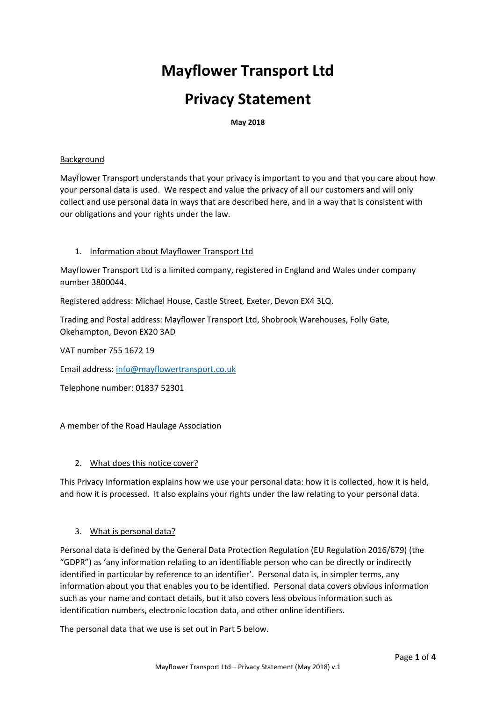# **Mayflower Transport Ltd**

## **Privacy Statement**

**May 2018**

#### Background

Mayflower Transport understands that your privacy is important to you and that you care about how your personal data is used. We respect and value the privacy of all our customers and will only collect and use personal data in ways that are described here, and in a way that is consistent with our obligations and your rights under the law.

### 1. Information about Mayflower Transport Ltd

Mayflower Transport Ltd is a limited company, registered in England and Wales under company number 3800044.

Registered address: Michael House, Castle Street, Exeter, Devon EX4 3LQ.

Trading and Postal address: Mayflower Transport Ltd, Shobrook Warehouses, Folly Gate, Okehampton, Devon EX20 3AD

VAT number 755 1672 19

Email address: [info@mayflowertransport.co.uk](mailto:info@mayflowertransport.co.uk)

Telephone number: 01837 52301

A member of the Road Haulage Association

#### 2. What does this notice cover?

This Privacy Information explains how we use your personal data: how it is collected, how it is held, and how it is processed. It also explains your rights under the law relating to your personal data.

#### 3. What is personal data?

Personal data is defined by the General Data Protection Regulation (EU Regulation 2016/679) (the "GDPR") as 'any information relating to an identifiable person who can be directly or indirectly identified in particular by reference to an identifier'. Personal data is, in simpler terms, any information about you that enables you to be identified. Personal data covers obvious information such as your name and contact details, but it also covers less obvious information such as identification numbers, electronic location data, and other online identifiers.

The personal data that we use is set out in Part 5 below.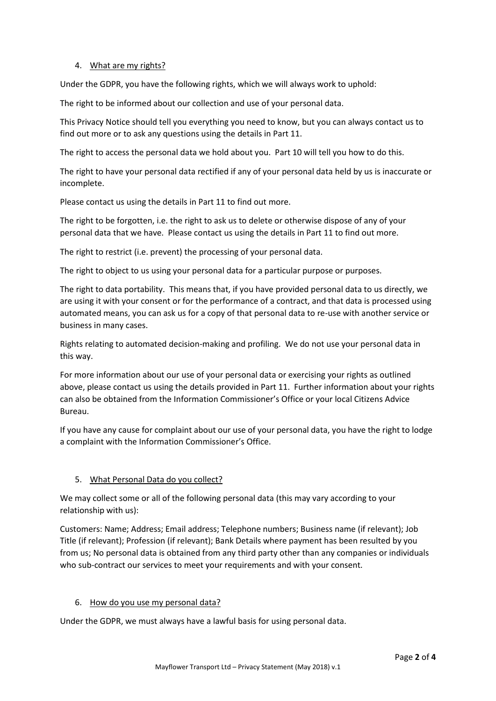### 4. What are my rights?

Under the GDPR, you have the following rights, which we will always work to uphold:

The right to be informed about our collection and use of your personal data.

This Privacy Notice should tell you everything you need to know, but you can always contact us to find out more or to ask any questions using the details in Part 11.

The right to access the personal data we hold about you. Part 10 will tell you how to do this.

The right to have your personal data rectified if any of your personal data held by us is inaccurate or incomplete.

Please contact us using the details in Part 11 to find out more.

The right to be forgotten, i.e. the right to ask us to delete or otherwise dispose of any of your personal data that we have. Please contact us using the details in Part 11 to find out more.

The right to restrict (i.e. prevent) the processing of your personal data.

The right to object to us using your personal data for a particular purpose or purposes.

The right to data portability. This means that, if you have provided personal data to us directly, we are using it with your consent or for the performance of a contract, and that data is processed using automated means, you can ask us for a copy of that personal data to re-use with another service or business in many cases.

Rights relating to automated decision-making and profiling. We do not use your personal data in this way.

For more information about our use of your personal data or exercising your rights as outlined above, please contact us using the details provided in Part 11. Further information about your rights can also be obtained from the Information Commissioner's Office or your local Citizens Advice Bureau.

If you have any cause for complaint about our use of your personal data, you have the right to lodge a complaint with the Information Commissioner's Office.

## 5. What Personal Data do you collect?

We may collect some or all of the following personal data (this may vary according to your relationship with us):

Customers: Name; Address; Email address; Telephone numbers; Business name (if relevant); Job Title (if relevant); Profession (if relevant); Bank Details where payment has been resulted by you from us; No personal data is obtained from any third party other than any companies or individuals who sub-contract our services to meet your requirements and with your consent.

#### 6. How do you use my personal data?

Under the GDPR, we must always have a lawful basis for using personal data.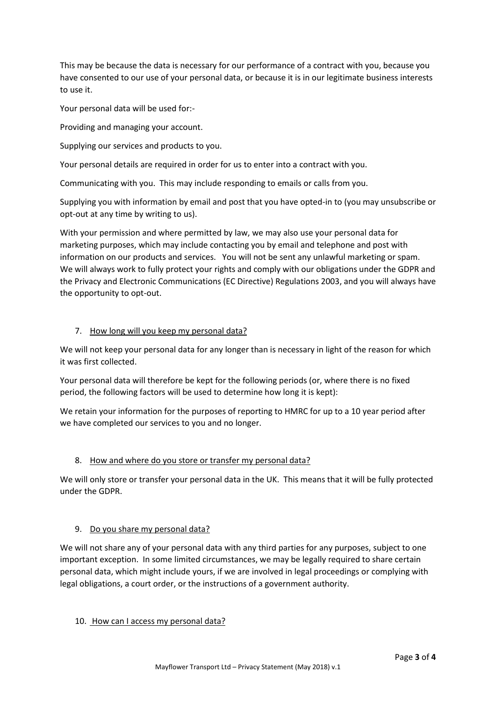This may be because the data is necessary for our performance of a contract with you, because you have consented to our use of your personal data, or because it is in our legitimate business interests to use it.

Your personal data will be used for:-

Providing and managing your account.

Supplying our services and products to you.

Your personal details are required in order for us to enter into a contract with you.

Communicating with you. This may include responding to emails or calls from you.

Supplying you with information by email and post that you have opted-in to (you may unsubscribe or opt-out at any time by writing to us).

With your permission and where permitted by law, we may also use your personal data for marketing purposes, which may include contacting you by email and telephone and post with information on our products and services. You will not be sent any unlawful marketing or spam. We will always work to fully protect your rights and comply with our obligations under the GDPR and the Privacy and Electronic Communications (EC Directive) Regulations 2003, and you will always have the opportunity to opt-out.

### 7. How long will you keep my personal data?

We will not keep your personal data for any longer than is necessary in light of the reason for which it was first collected.

Your personal data will therefore be kept for the following periods (or, where there is no fixed period, the following factors will be used to determine how long it is kept):

We retain your information for the purposes of reporting to HMRC for up to a 10 year period after we have completed our services to you and no longer.

## 8. How and where do you store or transfer my personal data?

We will only store or transfer your personal data in the UK. This means that it will be fully protected under the GDPR.

#### 9. Do you share my personal data?

We will not share any of your personal data with any third parties for any purposes, subject to one important exception. In some limited circumstances, we may be legally required to share certain personal data, which might include yours, if we are involved in legal proceedings or complying with legal obligations, a court order, or the instructions of a government authority.

#### 10. How can I access my personal data?